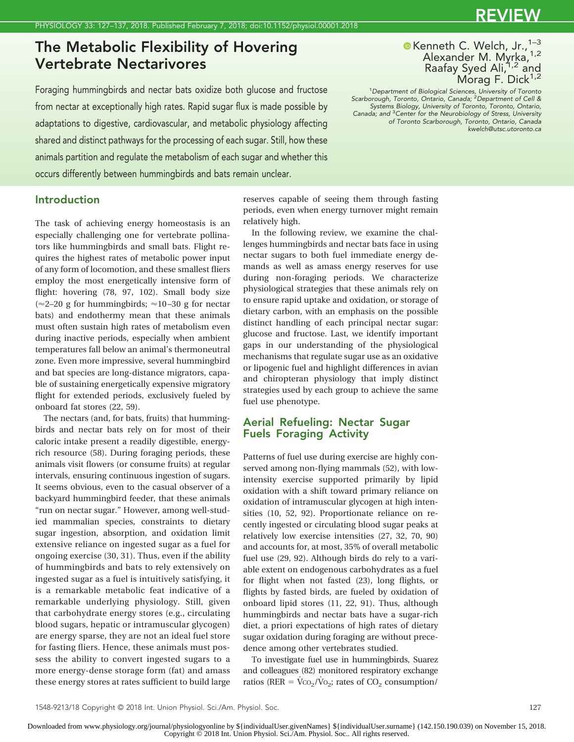## The Metabolic Flexibility of Hovering Vertebrate Nectarivores

Foraging hummingbirds and nectar bats oxidize both glucose and fructose from nectar at exceptionally high rates. Rapid sugar flux is made possible by adaptations to digestive, cardiovascular, and metabolic physiology affecting shared and distinct pathways for the processing of each sugar. Still, how these animals partition and regulate the metabolism of each sugar and whether this occurs differently between hummingbirds and bats remain unclear.

### $\bullet$  Kenneth C. Welch, Jr.,  $1-3$ Alexander M. Myrka, 1,2 Raafay Syed Ali,<sup>1,2</sup> and Morag F. Dick<sup>1,2</sup>

1 *Department of Biological Sciences, University of Toronto Scarborough, Toronto, Ontario, Canada;* <sup>2</sup> *Department of Cell & Systems Biology, University of Toronto, Toronto, Ontario, Canada; and* <sup>3</sup> *Center for the Neurobiology of Stress, University of Toronto Scarborough, Toronto, Ontario, Canada kwelch@utsc.utoronto.ca*

## Introduction

The task of achieving energy homeostasis is an especially challenging one for vertebrate pollinators like hummingbirds and small bats. Flight requires the highest rates of metabolic power input of any form of locomotion, and these smallest fliers employ the most energetically intensive form of flight: hovering (78, 97, 102). Small body size  $(\approx 2-20 \text{ g}$  for hummingbirds;  $\approx 10-30 \text{ g}$  for nectar bats) and endothermy mean that these animals must often sustain high rates of metabolism even during inactive periods, especially when ambient temperatures fall below an animal's thermoneutral zone. Even more impressive, several hummingbird and bat species are long-distance migrators, capable of sustaining energetically expensive migratory flight for extended periods, exclusively fueled by onboard fat stores (22, 59).

The nectars (and, for bats, fruits) that hummingbirds and nectar bats rely on for most of their caloric intake present a readily digestible, energyrich resource (58). During foraging periods, these animals visit flowers (or consume fruits) at regular intervals, ensuring continuous ingestion of sugars. It seems obvious, even to the casual observer of a backyard hummingbird feeder, that these animals "run on nectar sugar." However, among well-studied mammalian species, constraints to dietary sugar ingestion, absorption, and oxidation limit extensive reliance on ingested sugar as a fuel for ongoing exercise (30, 31). Thus, even if the ability of hummingbirds and bats to rely extensively on ingested sugar as a fuel is intuitively satisfying, it is a remarkable metabolic feat indicative of a remarkable underlying physiology. Still, given that carbohydrate energy stores (e.g., circulating blood sugars, hepatic or intramuscular glycogen) are energy sparse, they are not an ideal fuel store for fasting fliers. Hence, these animals must possess the ability to convert ingested sugars to a more energy-dense storage form (fat) and amass these energy stores at rates sufficient to build large reserves capable of seeing them through fasting periods, even when energy turnover might remain relatively high.

In the following review, we examine the challenges hummingbirds and nectar bats face in using nectar sugars to both fuel immediate energy demands as well as amass energy reserves for use during non-foraging periods. We characterize physiological strategies that these animals rely on to ensure rapid uptake and oxidation, or storage of dietary carbon, with an emphasis on the possible distinct handling of each principal nectar sugar: glucose and fructose. Last, we identify important gaps in our understanding of the physiological mechanisms that regulate sugar use as an oxidative or lipogenic fuel and highlight differences in avian and chiropteran physiology that imply distinct strategies used by each group to achieve the same fuel use phenotype.

#### Aerial Refueling: Nectar Sugar Fuels Foraging Activity

Patterns of fuel use during exercise are highly conserved among non-flying mammals (52), with lowintensity exercise supported primarily by lipid oxidation with a shift toward primary reliance on oxidation of intramuscular glycogen at high intensities (10, 52, 92). Proportionate reliance on recently ingested or circulating blood sugar peaks at relatively low exercise intensities (27, 32, 70, 90) and accounts for, at most, 35% of overall metabolic fuel use (29, 92). Although birds do rely to a variable extent on endogenous carbohydrates as a fuel for flight when not fasted (23), long flights, or flights by fasted birds, are fueled by oxidation of onboard lipid stores (11, 22, 91). Thus, although hummingbirds and nectar bats have a sugar-rich diet, a priori expectations of high rates of dietary sugar oxidation during foraging are without precedence among other vertebrates studied.

To investigate fuel use in hummingbirds, Suarez and colleagues (82) monitored respiratory exchange ratios (RER =  $VCO<sub>2</sub>/VO<sub>2</sub>$ ; rates of  $CO<sub>2</sub>$  consumption/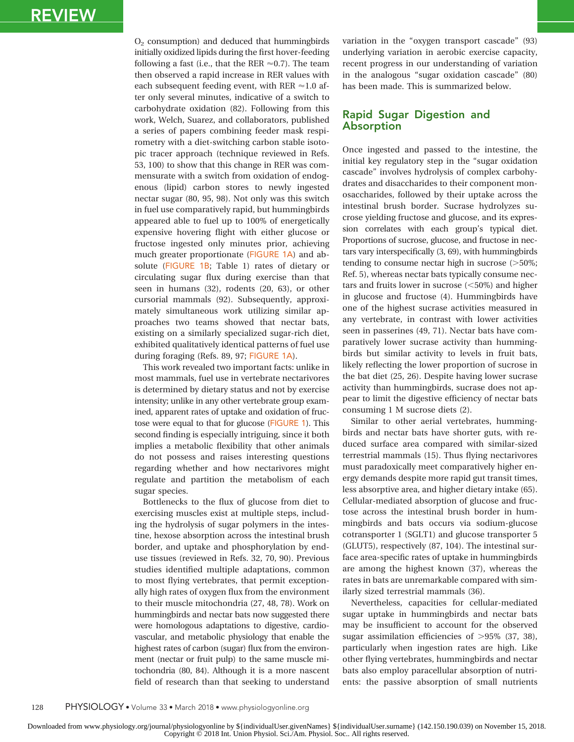$O<sub>2</sub>$  consumption) and deduced that humming birds initially oxidized lipids during the first hover-feeding following a fast (i.e., that the RER  ${\approx}0.7$ ). The team then observed a rapid increase in RER values with each subsequent feeding event, with RER  $\approx$  1.0 after only several minutes, indicative of a switch to carbohydrate oxidation (82). Following from this work, Welch, Suarez, and collaborators, published a series of papers combining feeder mask respirometry with a diet-switching carbon stable isotopic tracer approach (technique reviewed in Refs. 53, 100) to show that this change in RER was commensurate with a switch from oxidation of endogenous (lipid) carbon stores to newly ingested nectar sugar (80, 95, 98). Not only was this switch in fuel use comparatively rapid, but hummingbirds appeared able to fuel up to 100% of energetically expensive hovering flight with either glucose or fructose ingested only minutes prior, achieving much greater proportionate (FIGURE 1A) and absolute (FIGURE 1B; Table 1) rates of dietary or circulating sugar flux during exercise than that seen in humans (32), rodents (20, 63), or other cursorial mammals (92). Subsequently, approximately simultaneous work utilizing similar approaches two teams showed that nectar bats, existing on a similarly specialized sugar-rich diet, exhibited qualitatively identical patterns of fuel use during foraging (Refs. 89, 97; FIGURE 1A).

This work revealed two important facts: unlike in most mammals, fuel use in vertebrate nectarivores is determined by dietary status and not by exercise intensity; unlike in any other vertebrate group examined, apparent rates of uptake and oxidation of fructose were equal to that for glucose (FIGURE 1). This second finding is especially intriguing, since it both implies a metabolic flexibility that other animals do not possess and raises interesting questions regarding whether and how nectarivores might regulate and partition the metabolism of each sugar species.

Bottlenecks to the flux of glucose from diet to exercising muscles exist at multiple steps, including the hydrolysis of sugar polymers in the intestine, hexose absorption across the intestinal brush border, and uptake and phosphorylation by enduse tissues (reviewed in Refs. 32, 70, 90). Previous studies identified multiple adaptations, common to most flying vertebrates, that permit exceptionally high rates of oxygen flux from the environment to their muscle mitochondria (27, 48, 78). Work on hummingbirds and nectar bats now suggested there were homologous adaptations to digestive, cardiovascular, and metabolic physiology that enable the highest rates of carbon (sugar) flux from the environment (nectar or fruit pulp) to the same muscle mitochondria (80, 84). Although it is a more nascent field of research than that seeking to understand

variation in the "oxygen transport cascade" (93) underlying variation in aerobic exercise capacity, recent progress in our understanding of variation in the analogous "sugar oxidation cascade" (80) has been made. This is summarized below.

### Rapid Sugar Digestion and Absorption

Once ingested and passed to the intestine, the initial key regulatory step in the "sugar oxidation cascade" involves hydrolysis of complex carbohydrates and disaccharides to their component monosaccharides, followed by their uptake across the intestinal brush border. Sucrase hydrolyzes sucrose yielding fructose and glucose, and its expression correlates with each group's typical diet. Proportions of sucrose, glucose, and fructose in nectars vary interspecifically (3, 69), with hummingbirds tending to consume nectar high in sucrose  $($ >50%; Ref. 5), whereas nectar bats typically consume nectars and fruits lower in sucrose  $(<50\%)$  and higher in glucose and fructose (4). Hummingbirds have one of the highest sucrase activities measured in any vertebrate, in contrast with lower activities seen in passerines (49, 71). Nectar bats have comparatively lower sucrase activity than hummingbirds but similar activity to levels in fruit bats, likely reflecting the lower proportion of sucrose in the bat diet (25, 26). Despite having lower sucrase activity than hummingbirds, sucrase does not appear to limit the digestive efficiency of nectar bats consuming 1 M sucrose diets (2).

Similar to other aerial vertebrates, hummingbirds and nectar bats have shorter guts, with reduced surface area compared with similar-sized terrestrial mammals (15). Thus flying nectarivores must paradoxically meet comparatively higher energy demands despite more rapid gut transit times, less absorptive area, and higher dietary intake (65). Cellular-mediated absorption of glucose and fructose across the intestinal brush border in hummingbirds and bats occurs via sodium-glucose cotransporter 1 (SGLT1) and glucose transporter 5 (GLUT5), respectively (87, 104). The intestinal surface area-specific rates of uptake in hummingbirds are among the highest known (37), whereas the rates in bats are unremarkable compared with similarly sized terrestrial mammals (36).

Nevertheless, capacities for cellular-mediated sugar uptake in hummingbirds and nectar bats may be insufficient to account for the observed sugar assimilation efficiencies of  $>95\%$  (37, 38), particularly when ingestion rates are high. Like other flying vertebrates, hummingbirds and nectar bats also employ paracellular absorption of nutrients: the passive absorption of small nutrients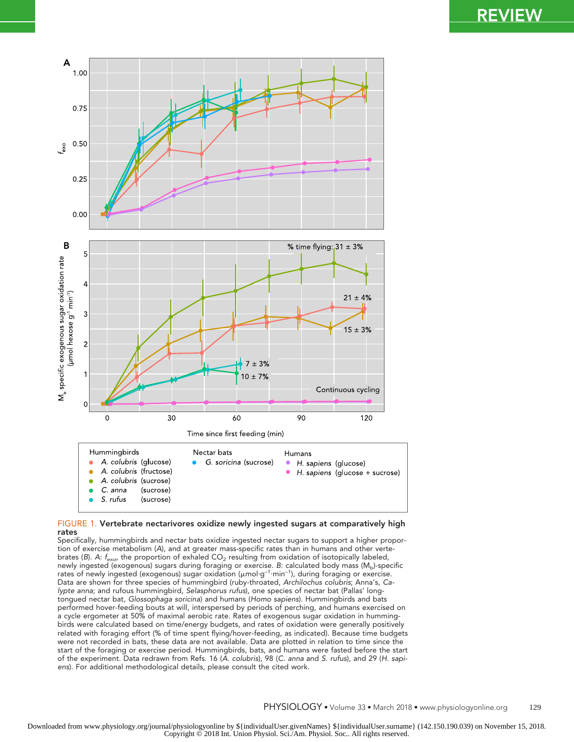

#### FIGURE 1. Vertebrate nectarivores oxidize newly ingested sugars at comparatively high rates

Specifically, hummingbirds and nectar bats oxidize ingested nectar sugars to support a higher proportion of exercise metabolism (*A*), and at greater mass-specific rates than in humans and other vertebrates (*B*). *A*: *f<sub>exo</sub>*, the proportion of exhaled CO<sub>2</sub> resulting from oxidation of isotopically labeled, newly ingested (exogenous) sugars during foraging or exercise. *B*: calculated body mass (Mb)-specific rates of newly ingested (exogenous) sugar oxidation (umol·g<sup>-1</sup>·min<sup>-1</sup>), during foraging or exercise. Data are shown for three species of hummingbird (ruby-throated, *Archilochus colubris*; Anna's, *Calypte anna*; and rufous hummingbird, *Selasphorus rufus*), one species of nectar bat (Pallas' longtongued nectar bat, *Glossophaga soricina*) and humans (*Homo sapiens*). Hummingbirds and bats performed hover-feeding bouts at will, interspersed by periods of perching, and humans exercised on a cycle ergometer at 50% of maximal aerobic rate. Rates of exogenous sugar oxidation in hummingbirds were calculated based on time/energy budgets, and rates of oxidation were generally positively related with foraging effort (% of time spent flying/hover-feeding, as indicated). Because time budgets were not recorded in bats, these data are not available. Data are plotted in relation to time since the start of the foraging or exercise period. Hummingbirds, bats, and humans were fasted before the start of the experiment. Data redrawn from Refs. 16 (*A. colubris*), 98 (*C. anna* and *S. rufus*), and 29 (*H. sapiens*). For additional methodological details, please consult the cited work.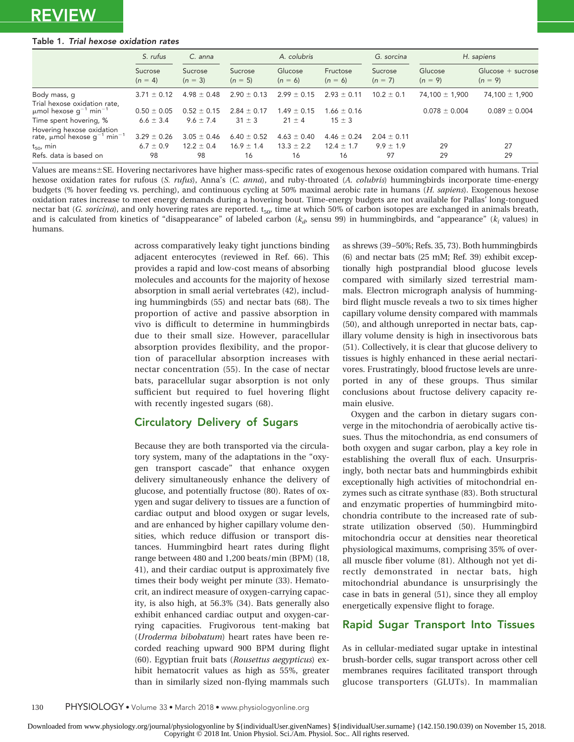#### Table 1*. Trial hexose oxidation rates*

|                                                                                       | S. rufus<br>Sucrose<br>$(n = 4)$ | C. anna<br>Sucrose<br>$(n = 3)$ | A. colubris          |                      |                       | G. sorcina           | H. sapiens           |                                  |
|---------------------------------------------------------------------------------------|----------------------------------|---------------------------------|----------------------|----------------------|-----------------------|----------------------|----------------------|----------------------------------|
|                                                                                       |                                  |                                 | Sucrose<br>$(n = 5)$ | Glucose<br>$(n = 6)$ | Fructose<br>$(n = 6)$ | Sucrose<br>$(n = 7)$ | Glucose<br>$(n = 9)$ | Glucose $+$ sucrose<br>$(n = 9)$ |
| Body mass, g                                                                          | $3.71 \pm 0.12$                  | $4.98 \pm 0.48$                 | $2.90 \pm 0.13$      | $2.99 \pm 0.15$      | $2.93 \pm 0.11$       | $10.2 \pm 0.1$       | $74,100 \pm 1,900$   | 74,100 $\pm$ 1,900               |
| Trial hexose oxidation rate,<br>$\mu$ mol hexose q <sup>-1</sup> min <sup>-1</sup>    | $0.50 \pm 0.05$                  | $0.52 \pm 0.15$                 | $2.84 \pm 0.17$      | $.49 \pm 0.15$       | $.66 \pm 0.16$        |                      | $0.078 \pm 0.004$    | $0.089 \pm 0.004$                |
| Time spent hovering, %                                                                | $6.6 \pm 3.4$                    | $9.6 \pm 7.4$                   | $31 \pm 3$           | $21 \pm 4$           | $15 \pm 3$            |                      |                      |                                  |
| Hovering hexose oxidation<br>rate, $\mu$ mol hexose q <sup>-1</sup> min <sup>-1</sup> | $3.29 \pm 0.26$                  | $3.05 \pm 0.46$                 | $6.40 \pm 0.52$      | $4.63 \pm 0.40$      | $4.46 \pm 0.24$       | $2.04 \pm 0.11$      |                      |                                  |
| $t_{50}$ , min                                                                        | $6.7 \pm 0.9$                    | $12.2 \pm 0.4$                  | $16.9 \pm 1.4$       | $13.3 \pm 2.2$       | $12.4 \pm 1.7$        | $9.9 \pm 1.9$        | 29                   | 27                               |
| Refs. data is based on                                                                | 98                               | 98                              | 16                   | 16                   | 16                    | 97                   | 29                   | 29                               |

Values are means±SE. Hovering nectarivores have higher mass-specific rates of exogenous hexose oxidation compared with humans. Trial hexose oxidation rates for rufous (*S. rufus*), Anna's (*C. anna*), and ruby-throated (*A. colubris*) hummingbirds incorporate time-energy budgets (% hover feeding vs. perching), and continuous cycling at 50% maximal aerobic rate in humans (*H. sapiens*). Exogenous hexose oxidation rates increase to meet energy demands during a hovering bout. Time-energy budgets are not available for Pallas' long-tongued nectar bat (*G. soricina*), and only hovering rates are reported.  $t_{50}$ , time at which 50% of carbon isotopes are exchanged in animals breath, and is calculated from kinetics of "disappearance" of labeled carbon  $(k_a$  sensu 99) in hummingbirds, and "appearance"  $(k_i$  values) in humans.

> across comparatively leaky tight junctions binding adjacent enterocytes (reviewed in Ref. 66). This provides a rapid and low-cost means of absorbing molecules and accounts for the majority of hexose absorption in small aerial vertebrates (42), including hummingbirds (55) and nectar bats (68). The proportion of active and passive absorption in vivo is difficult to determine in hummingbirds due to their small size. However, paracellular absorption provides flexibility, and the proportion of paracellular absorption increases with nectar concentration (55). In the case of nectar bats, paracellular sugar absorption is not only sufficient but required to fuel hovering flight with recently ingested sugars (68).

## Circulatory Delivery of Sugars

Because they are both transported via the circulatory system, many of the adaptations in the "oxygen transport cascade" that enhance oxygen delivery simultaneously enhance the delivery of glucose, and potentially fructose (80). Rates of oxygen and sugar delivery to tissues are a function of cardiac output and blood oxygen or sugar levels, and are enhanced by higher capillary volume densities, which reduce diffusion or transport distances. Hummingbird heart rates during flight range between 480 and 1,200 beats/min (BPM) (18, 41), and their cardiac output is approximately five times their body weight per minute (33). Hematocrit, an indirect measure of oxygen-carrying capacity, is also high, at 56.3% (34). Bats generally also exhibit enhanced cardiac output and oxygen-carrying capacities. Frugivorous tent-making bat (*Uroderma bibobatum*) heart rates have been recorded reaching upward 900 BPM during flight (60). Egyptian fruit bats (*Rousettus aegypticus*) exhibit hematocrit values as high as 55%, greater than in similarly sized non-flying mammals such

as shrews (39 –50%; Refs. 35, 73). Both hummingbirds (6) and nectar bats (25 mM; Ref. 39) exhibit exceptionally high postprandial blood glucose levels compared with similarly sized terrestrial mammals. Electron micrograph analysis of hummingbird flight muscle reveals a two to six times higher capillary volume density compared with mammals (50), and although unreported in nectar bats, capillary volume density is high in insectivorous bats (51). Collectively, it is clear that glucose delivery to tissues is highly enhanced in these aerial nectarivores. Frustratingly, blood fructose levels are unreported in any of these groups. Thus similar conclusions about fructose delivery capacity remain elusive.

Oxygen and the carbon in dietary sugars converge in the mitochondria of aerobically active tissues. Thus the mitochondria, as end consumers of both oxygen and sugar carbon, play a key role in establishing the overall flux of each. Unsurprisingly, both nectar bats and hummingbirds exhibit exceptionally high activities of mitochondrial enzymes such as citrate synthase (83). Both structural and enzymatic properties of hummingbird mitochondria contribute to the increased rate of substrate utilization observed (50). Hummingbird mitochondria occur at densities near theoretical physiological maximums, comprising 35% of overall muscle fiber volume (81). Although not yet directly demonstrated in nectar bats, high mitochondrial abundance is unsurprisingly the case in bats in general (51), since they all employ energetically expensive flight to forage.

## Rapid Sugar Transport Into Tissues

As in cellular-mediated sugar uptake in intestinal brush-border cells, sugar transport across other cell membranes requires facilitated transport through glucose transporters (GLUTs). In mammalian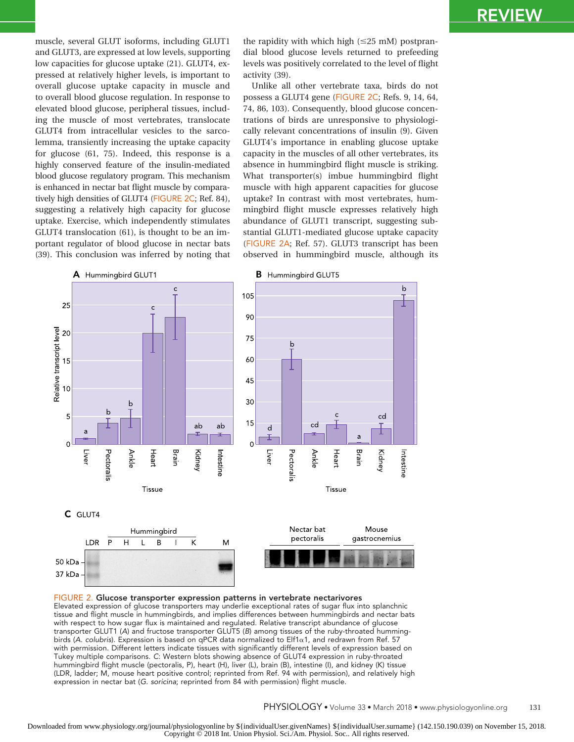muscle, several GLUT isoforms, including GLUT1 and GLUT3, are expressed at low levels, supporting low capacities for glucose uptake (21). GLUT4, expressed at relatively higher levels, is important to overall glucose uptake capacity in muscle and to overall blood glucose regulation. In response to elevated blood glucose, peripheral tissues, including the muscle of most vertebrates, translocate GLUT4 from intracellular vesicles to the sarcolemma, transiently increasing the uptake capacity for glucose (61, 75). Indeed, this response is a highly conserved feature of the insulin-mediated blood glucose regulatory program. This mechanism is enhanced in nectar bat flight muscle by comparatively high densities of GLUT4 (FIGURE 2C; Ref. 84), suggesting a relatively high capacity for glucose uptake. Exercise, which independently stimulates GLUT4 translocation (61), is thought to be an important regulator of blood glucose in nectar bats (39). This conclusion was inferred by noting that

the rapidity with which high  $(\leq 25 \text{ mM})$  postprandial blood glucose levels returned to prefeeding levels was positively correlated to the level of flight activity (39).

Unlike all other vertebrate taxa, birds do not possess a GLUT4 gene (FIGURE 2C; Refs. 9, 14, 64, 74, 86, 103). Consequently, blood glucose concentrations of birds are unresponsive to physiologically relevant concentrations of insulin (9). Given GLUT4's importance in enabling glucose uptake capacity in the muscles of all other vertebrates, its absence in hummingbird flight muscle is striking. What transporter(s) imbue hummingbird flight muscle with high apparent capacities for glucose uptake? In contrast with most vertebrates, hummingbird flight muscle expresses relatively high abundance of GLUT1 transcript, suggesting substantial GLUT1-mediated glucose uptake capacity (FIGURE 2A; Ref. 57). GLUT3 transcript has been observed in hummingbird muscle, although its



#### FIGURE 2. Glucose transporter expression patterns in vertebrate nectarivores

Elevated expression of glucose transporters may underlie exceptional rates of sugar flux into splanchnic tissue and flight muscle in hummingbirds, and implies differences between hummingbirds and nectar bats with respect to how sugar flux is maintained and regulated. Relative transcript abundance of glucose transporter GLUT1 (*A*) and fructose transporter GLUT5 (*B*) among tissues of the ruby-throated hummingbirds (*A. colubris*). Expression is based on qPCR data normalized to Elf1 1, and redrawn from Ref. 57 with permission. Different letters indicate tissues with significantly different levels of expression based on Tukey multiple comparisons. *C*: Western blots showing absence of GLUT4 expression in ruby-throated hummingbird flight muscle (pectoralis, P), heart (H), liver (L), brain (B), intestine (I), and kidney (K) tissue (LDR, ladder; M, mouse heart positive control; reprinted from Ref. 94 with permission), and relatively high expression in nectar bat (*G. soricina*; reprinted from 84 with permission) flight muscle.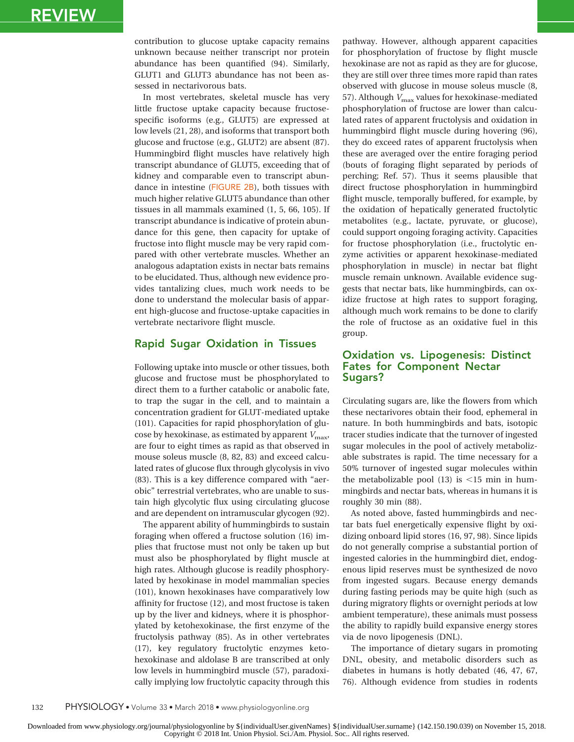contribution to glucose uptake capacity remains unknown because neither transcript nor protein abundance has been quantified (94). Similarly, GLUT1 and GLUT3 abundance has not been assessed in nectarivorous bats.

In most vertebrates, skeletal muscle has very little fructose uptake capacity because fructosespecific isoforms (e.g., GLUT5) are expressed at low levels (21, 28), and isoforms that transport both glucose and fructose (e.g., GLUT2) are absent (87). Hummingbird flight muscles have relatively high transcript abundance of GLUT5, exceeding that of kidney and comparable even to transcript abundance in intestine (FIGURE 2B), both tissues with much higher relative GLUT5 abundance than other tissues in all mammals examined (1, 5, 66, 105). If transcript abundance is indicative of protein abundance for this gene, then capacity for uptake of fructose into flight muscle may be very rapid compared with other vertebrate muscles. Whether an analogous adaptation exists in nectar bats remains to be elucidated. Thus, although new evidence provides tantalizing clues, much work needs to be done to understand the molecular basis of apparent high-glucose and fructose-uptake capacities in vertebrate nectarivore flight muscle.

#### Rapid Sugar Oxidation in Tissues

Following uptake into muscle or other tissues, both glucose and fructose must be phosphorylated to direct them to a further catabolic or anabolic fate, to trap the sugar in the cell, and to maintain a concentration gradient for GLUT-mediated uptake (101). Capacities for rapid phosphorylation of glucose by hexokinase, as estimated by apparent  $V_{\text{max}}$ , are four to eight times as rapid as that observed in mouse soleus muscle (8, 82, 83) and exceed calculated rates of glucose flux through glycolysis in vivo (83). This is a key difference compared with "aerobic" terrestrial vertebrates, who are unable to sustain high glycolytic flux using circulating glucose and are dependent on intramuscular glycogen (92).

The apparent ability of hummingbirds to sustain foraging when offered a fructose solution (16) implies that fructose must not only be taken up but must also be phosphorylated by flight muscle at high rates. Although glucose is readily phosphorylated by hexokinase in model mammalian species (101), known hexokinases have comparatively low affinity for fructose (12), and most fructose is taken up by the liver and kidneys, where it is phosphorylated by ketohexokinase, the first enzyme of the fructolysis pathway (85). As in other vertebrates (17), key regulatory fructolytic enzymes ketohexokinase and aldolase B are transcribed at only low levels in hummingbird muscle (57), paradoxically implying low fructolytic capacity through this pathway. However, although apparent capacities for phosphorylation of fructose by flight muscle hexokinase are not as rapid as they are for glucose, they are still over three times more rapid than rates observed with glucose in mouse soleus muscle (8, 57). Although  $V_{\text{max}}$  values for hexokinase-mediated phosphorylation of fructose are lower than calculated rates of apparent fructolysis and oxidation in hummingbird flight muscle during hovering (96), they do exceed rates of apparent fructolysis when these are averaged over the entire foraging period (bouts of foraging flight separated by periods of perching; Ref. 57). Thus it seems plausible that direct fructose phosphorylation in hummingbird flight muscle, temporally buffered, for example, by the oxidation of hepatically generated fructolytic metabolites (e.g., lactate, pyruvate, or glucose), could support ongoing foraging activity. Capacities for fructose phosphorylation (i.e., fructolytic enzyme activities or apparent hexokinase-mediated phosphorylation in muscle) in nectar bat flight muscle remain unknown. Available evidence suggests that nectar bats, like hummingbirds, can oxidize fructose at high rates to support foraging, although much work remains to be done to clarify the role of fructose as an oxidative fuel in this group.

#### Oxidation vs. Lipogenesis: Distinct Fates for Component Nectar Sugars?

Circulating sugars are, like the flowers from which these nectarivores obtain their food, ephemeral in nature. In both hummingbirds and bats, isotopic tracer studies indicate that the turnover of ingested sugar molecules in the pool of actively metabolizable substrates is rapid. The time necessary for a 50% turnover of ingested sugar molecules within the metabolizable pool  $(13)$  is  $\leq 15$  min in hummingbirds and nectar bats, whereas in humans it is roughly 30 min (88).

As noted above, fasted hummingbirds and nectar bats fuel energetically expensive flight by oxidizing onboard lipid stores (16, 97, 98). Since lipids do not generally comprise a substantial portion of ingested calories in the hummingbird diet, endogenous lipid reserves must be synthesized de novo from ingested sugars. Because energy demands during fasting periods may be quite high (such as during migratory flights or overnight periods at low ambient temperature), these animals must possess the ability to rapidly build expansive energy stores via de novo lipogenesis (DNL).

The importance of dietary sugars in promoting DNL, obesity, and metabolic disorders such as diabetes in humans is hotly debated (46, 47, 67, 76). Although evidence from studies in rodents

Downloaded from www.physiology.org/journal/physiologyonline by \${individualUser.givenNames} \${individualUser.surname} (142.150.190.039) on November 15, 2018. Copyright © 2018 Int. Union Physiol. Sci./Am. Physiol. Soc.. All rights reserved.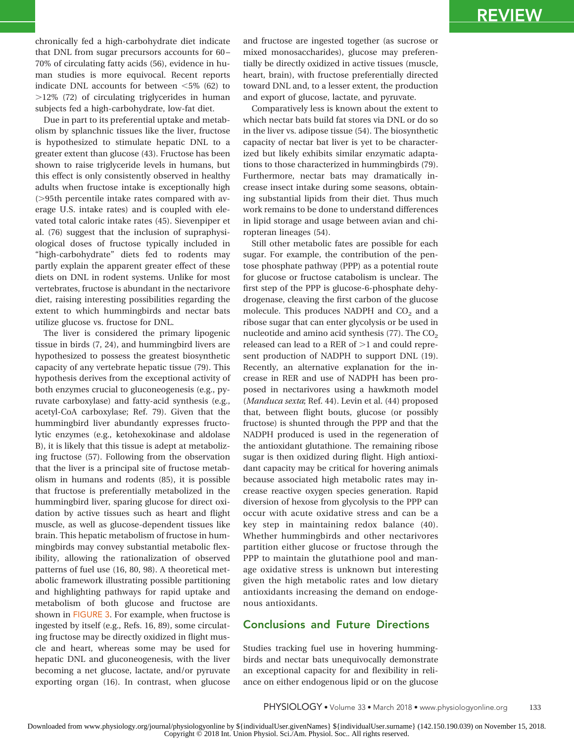chronically fed a high-carbohydrate diet indicate that DNL from sugar precursors accounts for 60 – 70% of circulating fatty acids (56), evidence in human studies is more equivocal. Recent reports indicate DNL accounts for between  $\leq 5\%$  (62) to 12% (72) of circulating triglycerides in human subjects fed a high-carbohydrate, low-fat diet.

Due in part to its preferential uptake and metabolism by splanchnic tissues like the liver, fructose is hypothesized to stimulate hepatic DNL to a greater extent than glucose (43). Fructose has been shown to raise triglyceride levels in humans, but this effect is only consistently observed in healthy adults when fructose intake is exceptionally high (>95th percentile intake rates compared with average U.S. intake rates) and is coupled with elevated total caloric intake rates (45). Sievenpiper et al. (76) suggest that the inclusion of supraphysiological doses of fructose typically included in "high-carbohydrate" diets fed to rodents may partly explain the apparent greater effect of these diets on DNL in rodent systems. Unlike for most vertebrates, fructose is abundant in the nectarivore diet, raising interesting possibilities regarding the extent to which hummingbirds and nectar bats utilize glucose vs. fructose for DNL.

The liver is considered the primary lipogenic tissue in birds (7, 24), and hummingbird livers are hypothesized to possess the greatest biosynthetic capacity of any vertebrate hepatic tissue (79). This hypothesis derives from the exceptional activity of both enzymes crucial to gluconeogenesis (e.g., pyruvate carboxylase) and fatty-acid synthesis (e.g., acetyl-CoA carboxylase; Ref. 79). Given that the hummingbird liver abundantly expresses fructolytic enzymes (e.g., ketohexokinase and aldolase B), it is likely that this tissue is adept at metabolizing fructose (57). Following from the observation that the liver is a principal site of fructose metabolism in humans and rodents (85), it is possible that fructose is preferentially metabolized in the hummingbird liver, sparing glucose for direct oxidation by active tissues such as heart and flight muscle, as well as glucose-dependent tissues like brain. This hepatic metabolism of fructose in hummingbirds may convey substantial metabolic flexibility, allowing the rationalization of observed patterns of fuel use (16, 80, 98). A theoretical metabolic framework illustrating possible partitioning and highlighting pathways for rapid uptake and metabolism of both glucose and fructose are shown in FIGURE 3. For example, when fructose is ingested by itself (e.g., Refs. 16, 89), some circulating fructose may be directly oxidized in flight muscle and heart, whereas some may be used for hepatic DNL and gluconeogenesis, with the liver becoming a net glucose, lactate, and/or pyruvate exporting organ (16). In contrast, when glucose and fructose are ingested together (as sucrose or mixed monosaccharides), glucose may preferentially be directly oxidized in active tissues (muscle, heart, brain), with fructose preferentially directed toward DNL and, to a lesser extent, the production and export of glucose, lactate, and pyruvate.

Comparatively less is known about the extent to which nectar bats build fat stores via DNL or do so in the liver vs. adipose tissue (54). The biosynthetic capacity of nectar bat liver is yet to be characterized but likely exhibits similar enzymatic adaptations to those characterized in hummingbirds (79). Furthermore, nectar bats may dramatically increase insect intake during some seasons, obtaining substantial lipids from their diet. Thus much work remains to be done to understand differences in lipid storage and usage between avian and chiropteran lineages (54).

Still other metabolic fates are possible for each sugar. For example, the contribution of the pentose phosphate pathway (PPP) as a potential route for glucose or fructose catabolism is unclear. The first step of the PPP is glucose-6-phosphate dehydrogenase, cleaving the first carbon of the glucose molecule. This produces NADPH and  $CO<sub>2</sub>$  and a ribose sugar that can enter glycolysis or be used in nucleotide and amino acid synthesis (77). The  $CO<sub>2</sub>$ released can lead to a RER of  $>1$  and could represent production of NADPH to support DNL (19). Recently, an alternative explanation for the increase in RER and use of NADPH has been proposed in nectarivores using a hawkmoth model (*Manduca sexta*; Ref. 44). Levin et al. (44) proposed that, between flight bouts, glucose (or possibly fructose) is shunted through the PPP and that the NADPH produced is used in the regeneration of the antioxidant glutathione. The remaining ribose sugar is then oxidized during flight. High antioxidant capacity may be critical for hovering animals because associated high metabolic rates may increase reactive oxygen species generation. Rapid diversion of hexose from glycolysis to the PPP can occur with acute oxidative stress and can be a key step in maintaining redox balance (40). Whether hummingbirds and other nectarivores partition either glucose or fructose through the PPP to maintain the glutathione pool and manage oxidative stress is unknown but interesting given the high metabolic rates and low dietary antioxidants increasing the demand on endogenous antioxidants.

### Conclusions and Future Directions

Studies tracking fuel use in hovering hummingbirds and nectar bats unequivocally demonstrate an exceptional capacity for and flexibility in reliance on either endogenous lipid or on the glucose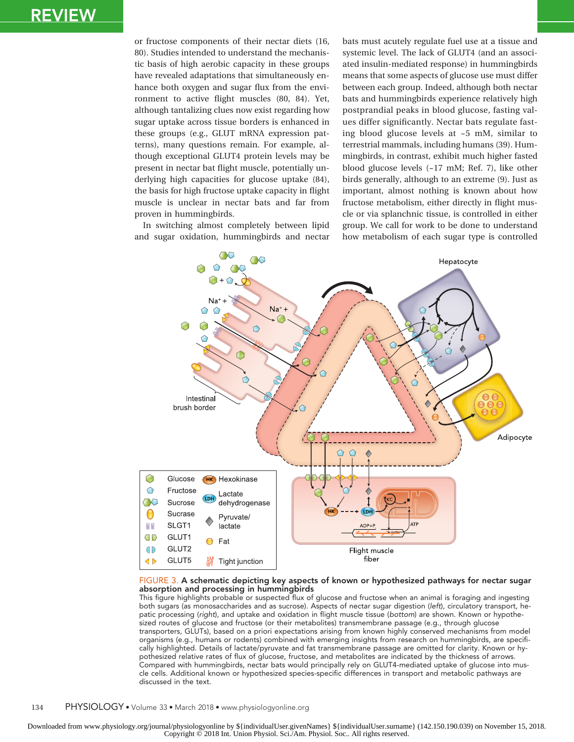or fructose components of their nectar diets (16, 80). Studies intended to understand the mechanistic basis of high aerobic capacity in these groups have revealed adaptations that simultaneously enhance both oxygen and sugar flux from the environment to active flight muscles (80, 84). Yet, although tantalizing clues now exist regarding how sugar uptake across tissue borders is enhanced in these groups (e.g., GLUT mRNA expression patterns), many questions remain. For example, although exceptional GLUT4 protein levels may be present in nectar bat flight muscle, potentially underlying high capacities for glucose uptake (84), the basis for high fructose uptake capacity in flight muscle is unclear in nectar bats and far from proven in hummingbirds.

In switching almost completely between lipid and sugar oxidation, hummingbirds and nectar bats must acutely regulate fuel use at a tissue and systemic level. The lack of GLUT4 (and an associated insulin-mediated response) in hummingbirds means that some aspects of glucose use must differ between each group. Indeed, although both nectar bats and hummingbirds experience relatively high postprandial peaks in blood glucose, fasting values differ significantly. Nectar bats regulate fasting blood glucose levels at ~5 mM, similar to terrestrial mammals, including humans (39). Hummingbirds, in contrast, exhibit much higher fasted blood glucose levels (~17 mM; Ref. 7), like other birds generally, although to an extreme (9). Just as important, almost nothing is known about how fructose metabolism, either directly in flight muscle or via splanchnic tissue, is controlled in either group. We call for work to be done to understand how metabolism of each sugar type is controlled



#### FIGURE 3. A schematic depicting key aspects of known or hypothesized pathways for nectar sugar absorption and processing in hummingbirds

This figure highlights probable or suspected flux of glucose and fructose when an animal is foraging and ingesting both sugars (as monosaccharides and as sucrose). Aspects of nectar sugar digestion (*left*), circulatory transport, hepatic processing (*right*), and uptake and oxidation in flight muscle tissue (*bottom*) are shown. Known or hypothesized routes of glucose and fructose (or their metabolites) transmembrane passage (e.g., through glucose transporters, GLUTs), based on a priori expectations arising from known highly conserved mechanisms from model organisms (e.g., humans or rodents) combined with emerging insights from research on hummingbirds, are specifically highlighted. Details of lactate/pyruvate and fat transmembrane passage are omitted for clarity. Known or hypothesized relative rates of flux of glucose, fructose, and metabolites are indicated by the thickness of arrows. Compared with hummingbirds, nectar bats would principally rely on GLUT4-mediated uptake of glucose into muscle cells. Additional known or hypothesized species-specific differences in transport and metabolic pathways are discussed in the text.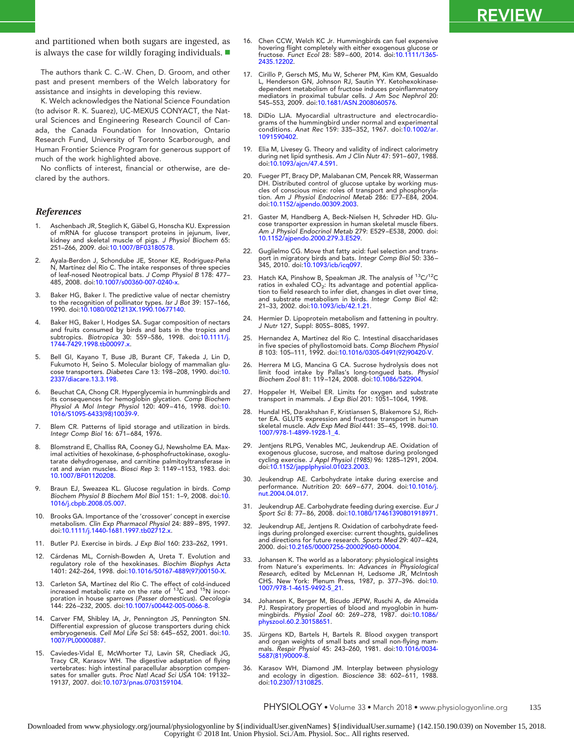and partitioned when both sugars are ingested, as is always the case for wildly foraging individuals.  $\blacksquare$ 

The authors thank C. C.-W. Chen, D. Groom, and other past and present members of the Welch laboratory for assistance and insights in developing this review.

K. Welch acknowledges the National Science Foundation (to advisor R. K. Suarez), UC-MEXUS CONYACT, the Natural Sciences and Engineering Research Council of Canada, the Canada Foundation for Innovation, Ontario Research Fund, University of Toronto Scarborough, and Human Frontier Science Program for generous support of much of the work highlighted above.

No conflicts of interest, financial or otherwise, are declared by the authors.

#### *References*

- 1. Aschenbach JR, Steglich K, Gäbel G, Honscha KU. Expression of mRNA for glucose transport proteins in jejunum, liver, kidney and skeletal muscle of pigs. *J Physiol Biochem* 65: 251–266, 2009. doi[:10.1007/BF03180578.](https://doi.org/10.1007/BF03180578)
- 2. Ayala-Berdon J, Schondube JE, Stoner KE, Rodriguez-Peña N, Martínez del Rio C. The intake responses of three species of leaf-nosed Neotropical bats. *J Comp Physiol B* 178: 477– 485, 2008. doi[:10.1007/s00360-007-0240-x.](https://doi.org/10.1007/s00360-007-0240-x)
- 3. Baker HG, Baker I. The predictive value of nectar chemistry to the recognition of pollinator types. *Isr J Bot* 39: 157–166, 1990. doi[:10.1080/0021213X.1990.10677140.](https://doi.org/10.1080/0021213X.1990.10677140)
- 4. Baker HG, Baker I, Hodges SA. Sugar composition of nectars and fruits consumed by birds and bats in the tropics and subtropics. *Biotropica* 30: 559–586, 1998. doi[:10.1111/j.](https://doi.org/10.1111/j.1744-7429.1998.tb00097.x) [1744-7429.1998.tb00097.x.](https://doi.org/10.1111/j.1744-7429.1998.tb00097.x)
- 5. Bell GI, Kayano T, Buse JB, Burant CF, Takeda J, Lin D, Fukumoto H, Seino S. Molecular biology of mammalian glu-cose transporters. *Diabetes Care* 13: 198–208, 1990. doi[:10.](https://doi.org/10.2337/diacare.13.3.198) [2337/diacare.13.3.198.](https://doi.org/10.2337/diacare.13.3.198)
- 6. Beuchat CA, Chong CR. Hyperglycemia in hummingbirds and its consequences for hemoglobin glycation. *Comp Biochem Physiol A Mol Integr Physiol* 120: 409–416, 1998. doi[:10.](https://doi.org/10.1016/S1095-6433(98)10039-9) [1016/S1095-6433\(98\)10039-9.](https://doi.org/10.1016/S1095-6433(98)10039-9)
- 7. Blem CR. Patterns of lipid storage and utilization in birds. *Integr Comp Biol* 16: 671–684, 1976.
- 8. Blomstrand E, Challiss RA, Cooney GJ, Newsholme EA. Maximal activities of hexokinase, 6-phosphofructokinase, oxoglutarate dehydrogenase, and carnitine palmitoyltransferase in rat and avian muscles. *Biosci Rep* 3: 1149–1153, 1983. doi: [10.1007/BF01120208.](https://doi.org/10.1007/BF01120208)
- 9. Braun EJ, Sweazea KL. Glucose regulation in birds. *Comp Biochem Physiol B Biochem Mol Biol* 151: 1–9, 2008. doi[:10.](https://doi.org/10.1016/j.cbpb.2008.05.007) [1016/j.cbpb.2008.05.007.](https://doi.org/10.1016/j.cbpb.2008.05.007)
- 10. Brooks GA. Importance of the 'crossover' concept in exercise metabolism. *Clin Exp Pharmacol Physiol* 24: 889–895, 1997. doi[:10.1111/j.1440-1681.1997.tb02712.x.](https://doi.org/10.1111/j.1440-1681.1997.tb02712.x)
- 11. Butler PJ. Exercise in birds. *J Exp Biol* 160: 233–262, 1991.
- Cárdenas ML, Cornish-Bowden A, Ureta T. Evolution and regulatory role of the hexokinases. *Biochim Biophys Acta* 1401: 242–264, 1998. doi[:10.1016/S0167-4889\(97\)00150-X.](https://doi.org/10.1016/S0167-4889(97)00150-X)
- 13. Carleton SA, Martínez del Rio C. The effect of cold-induced increased metabolic rate on the rate of  $^{13}$ C and  $^{15}$ N incorporation in house sparrows (*Passer domesticus*). *Oecologia* 144: 226–232, 2005. doi[:10.1007/s00442-005-0066-8.](https://doi.org/10.1007/s00442-005-0066-8)
- 14. Carver FM, Shibley IA, Jr, Pennington JS, Pennington SN. Differential expression of glucose transporters during chick embryogenesis. *Cell Mol Life Sci* 58: 645–652, 2001. doi[:10.](https://doi.org/10.1007/PL00000887) [1007/PL00000887.](https://doi.org/10.1007/PL00000887)
- 15. Caviedes-Vidal E, McWhorter TJ, Lavin SR, Chediack JG, Tracy CR, Karasov WH. The digestive adaptation of flying vertebrates: high intestinal paracellular absorption compen-sates for smaller guts. *Proc Natl Acad Sci USA* 104: 19132– 19137, 2007. doi[:10.1073/pnas.0703159104.](https://doi.org/10.1073/pnas.0703159104)
- 16. Chen CCW, Welch KC Jr. Hummingbirds can fuel expensive hovering flight completely with either exogenous glucose or fructose. *Funct Ecol* 28: 589–600, 2014. doi[:10.1111/1365-](https://doi.org/10.1111/1365-2435.12202) [2435.12202.](https://doi.org/10.1111/1365-2435.12202)
- 17. Cirillo P, Gersch MS, Mu W, Scherer PM, Kim KM, Gesualdo L, Henderson GN, Johnson RJ, Sautin YY. Ketohexokinasedependent metabolism of fructose induces proinflammatory mediators in proximal tubular cells. *J Am Soc Nephrol* 20: 545–553, 2009. doi[:10.1681/ASN.2008060576.](https://doi.org/10.1681/ASN.2008060576)
- 18. DiDio LJA. Myocardial ultrastructure and electrocardiograms of the hummingbird under normal and experimental conditions. *Anat Rec* 159: 335–352, 1967. doi[:10.1002/ar.](https://doi.org/10.1002/ar.1091590402) [1091590402.](https://doi.org/10.1002/ar.1091590402)
- 19. Elia M, Livesey G. Theory and validity of indirect calorimetry during net lipid synthesis. *Am J Clin Nutr* 47: 591–607, 1988. doi[:10.1093/ajcn/47.4.591.](https://doi.org/10.1093/ajcn/47.4.591)
- 20. Fueger PT, Bracy DP, Malabanan CM, Pencek RR, Wasserman DH. Distributed control of glucose uptake by working muscles of conscious mice: roles of transport and phosphoryla-tion. *Am J Physiol Endocrinol Metab* 286: E77–E84, 2004. doi[:10.1152/ajpendo.00309.2003.](https://doi.org/10.1152/ajpendo.00309.2003)
- 21. Gaster M, Handberg A, Beck-Nielsen H, Schrøder HD. Glucose transporter expression in human skeletal muscle fibers. *Am J Physiol Endocrinol Metab* 279: E529–E538, 2000. doi: [10.1152/ajpendo.2000.279.3.E529.](https://doi.org/10.1152/ajpendo.2000.279.3.E529)
- 22. Guglielmo CG. Move that fatty acid: fuel selection and transport in migratory birds and bats. *Integr Comp Biol* 50: 336– 345, 2010. doi[:10.1093/icb/icq097.](https://doi.org/10.1093/icb/icq097)
- 23. Hatch KA, Pinshow B, Speakman JR. The analysis of <sup>13</sup>C/<sup>12</sup>C ratios in exhaled  $CO<sub>2</sub>$ : Its advantage and potential application to field research to infer diet, changes in diet over time, and substrate metabolism in birds. *Integr Comp Biol* 42: 21–33, 2002. doi[:10.1093/icb/42.1.21.](https://doi.org/10.1093/icb/42.1.21)
- Hermier D. Lipoprotein metabolism and fattening in poultry. *J Nutr* 127, Suppl: 805S–808S, 1997.
- 25. Hernandez A, Martinez del Rio C. Intestinal disaccharidases in five species of phyllostomoid bats. *Comp Biochem Physiol B* 103: 105–111, 1992. doi[:10.1016/0305-0491\(92\)90420-V.](https://doi.org/10.1016/0305-0491(92)90420-V)
- Herrera M LG, Mancina G CA. Sucrose hydrolysis does not limit food intake by Pallas's long-tongued bats. *Physiol Biochem Zool* 81: 119–124, 2008. doi[:10.1086/522904.](https://doi.org/10.1086/522904)
- 27. Hoppeler H, Weibel ER. Limits for oxygen and substrate transport in mammals. *J Exp Biol* 201: 1051–1064, 1998.
- 28. Hundal HS, Darakhshan F, Kristiansen S, Blakemore SJ, Richter EA. GLUT5 expression and fructose transport in human skeletal muscle. *Adv Exp Med Biol* 441: 35–45, 1998. doi[:10.](https://doi.org/10.1007/978-1-4899-1928-1_4) [1007/978-1-4899-1928-1\\_4.](https://doi.org/10.1007/978-1-4899-1928-1_4)
- 29. Jentjens RLPG, Venables MC, Jeukendrup AE. Oxidation of exogenous glucose, sucrose, and maltose during prolonged cycling exercise. *J Appl Physiol (1985)* 96: 1285–1291, 2004. doi[:10.1152/japplphysiol.01023.2003.](https://doi.org/10.1152/japplphysiol.01023.2003)
- 30. Jeukendrup AE. Carbohydrate intake during exercise and performance. *Nutrition* 20: 669–677, 2004. doi[:10.1016/j.](https://doi.org/10.1016/j.nut.2004.04.017) [nut.2004.04.017.](https://doi.org/10.1016/j.nut.2004.04.017)
- 31. Jeukendrup AE. Carbohydrate feeding during exercise. *Eur J Sport Sci* 8: 77–86, 2008. doi[:10.1080/17461390801918971.](https://doi.org/10.1080/17461390801918971)
- 32. Jeukendrup AE, Jentjens R. Oxidation of carbohydrate feedings during prolonged exercise: current thoughts, guidelines and directions for future research. *Sports Med* 29: 407–424, 2000. doi[:10.2165/00007256-200029060-00004.](https://doi.org/10.2165/00007256-200029060-00004)
- 33. Johansen K. The world as a laboratory: physiological insights from Nature's experiments. In: *Advances in Physiological Research*, edited by McLennan H, Ledsome JR, McIntosh CHS. New York: Plenum Press, 1987, p. 377–396. doi[:10.](https://doi.org/10.1007/978-1-4615-9492-5_21) [1007/978-1-4615-9492-5\\_21.](https://doi.org/10.1007/978-1-4615-9492-5_21)
- 34. Johansen K, Berger M, Bicudo JEPW, Ruschi A, de Almeida PJ. Respiratory properties of blood and myoglobin in hum-mingbirds. *Physiol Zool* 60: 269–278, 1987. doi[:10.1086/](https://doi.org/10.1086/physzool.60.2.30158651) [physzool.60.2.30158651.](https://doi.org/10.1086/physzool.60.2.30158651)
- 35. Jürgens KD, Bartels H, Bartels R. Blood oxygen transport and organ weights of small bats and small non-flying mammals. *Respir Physiol* 45: 243–260, 1981. doi[:10.1016/0034-](https://doi.org/10.1016/0034-5687(81)90009-8) [5687\(81\)90009-8.](https://doi.org/10.1016/0034-5687(81)90009-8)
- 36. Karasov WH, Diamond JM. Interplay between physiology and ecology in digestion. *Bioscience* 38: 602–611, 1988. doi[:10.2307/1310825.](https://doi.org/10.2307/1310825)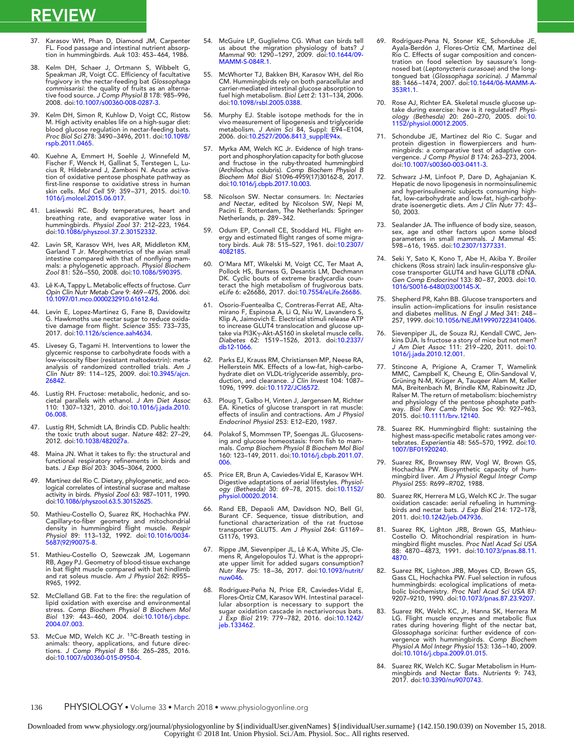- 37. Karasov WH, Phan D, Diamond JM, Carpenter FL. Food passage and intestinal nutrient absorption in hummingbirds. *Auk* 103: 453–464, 1986.
- 38. Kelm DH, Schaer J, Ortmann S, Wibbelt G, Speakman JR, Voigt CC. Efficiency of facultative frugivory in the nectar-feeding bat *Glossophaga commissarisi*: the quality of fruits as an alterna-tive food source. *J Comp Physiol B* 178: 985–996, 2008. doi[:10.1007/s00360-008-0287-3.](https://doi.org/10.1007/s00360-008-0287-3)
- 39. Kelm DH, Simon R, Kuhlow D, Voigt CC, Ristow M. High activity enables life on a high-sugar diet: blood glucose regulation in nectar-feeding bats. *Proc Biol Sci* 278: 3490–3496, 2011. doi[:10.1098/](https://doi.org/10.1098/rspb.2011.0465) [rspb.2011.0465.](https://doi.org/10.1098/rspb.2011.0465)
- 40. Kuehne A, Emmert H, Soehle J, Winnefeld M, Fischer F, Wenck H, Gallinat S, Terstegen L, Lucius R, Hildebrand J, Zamboni N. Acute activation of oxidative pentose phosphate pathway as first-line response to oxidative stress in human skin cells. *Mol Cell* 59: 359–371, 2015. doi[:10.](https://doi.org/10.1016/j.molcel.2015.06.017) [1016/j.molcel.2015.06.017.](https://doi.org/10.1016/j.molcel.2015.06.017)
- 41. Lasiewski RC. Body temperatures, heart and breathing rate, and evaporative water loss in hummingbirds. *Physiol Zool* 37: 212–223, 1964. doi[:10.1086/physzool.37.2.30152332.](https://doi.org/10.1086/physzool.37.2.30152332)
- 42. Lavin SR, Karasov WH, Ives AR, Middleton KM, Garland T Jr. Morphometrics of the avian small intestine compared with that of nonflying mam-mals: a phylogenetic approach. *Physiol Biochem Zool* 81: 526–550, 2008. doi[:10.1086/590395.](https://doi.org/10.1086/590395)
- 43. Lê K-A, Tappy L. Metabolic effects of fructose. *Curr Opin Clin Nutr Metab Care* 9: 469–475, 2006. doi: [10.1097/01.mco.0000232910.61612.4d.](https://doi.org/10.1097/01.mco.0000232910.61612.4d)
- 44. Levin E, Lopez-Martinez G, Fane B, Davidowitz G. Hawkmoths use nectar sugar to reduce oxidative damage from flight. *Science* 355: 733–735, 2017. doi[:10.1126/science.aah4634.](https://doi.org/10.1126/science.aah4634)
- 45. Livesey G, Tagami H. Interventions to lower the glycemic response to carbohydrate foods with a low-viscosity fiber (resistant maltodextrin): meta-analysis of randomized controlled trials. *Am J Clin Nutr* 89: 114–125, 2009. doi[:10.3945/ajcn.](https://doi.org/10.3945/ajcn.26842) [26842.](https://doi.org/10.3945/ajcn.26842)
- 46. Lustig RH. Fructose: metabolic, hedonic, and so-cietal parallels with ethanol. *J Am Diet Assoc* 110: 1307–1321, 2010. doi[:10.1016/j.jada.2010.](https://doi.org/10.1016/j.jada.2010.06.008) [06.008.](https://doi.org/10.1016/j.jada.2010.06.008)
- 47. Lustig RH, Schmidt LA, Brindis CD. Public health: the toxic truth about sugar. *Nature* 482: 27–29, 2012. doi[:10.1038/482027a.](https://doi.org/10.1038/482027a)
- 48. Maina JN. What it takes to fly: the structural and functional respiratory refinements in birds and bats. *J Exp Biol* 203: 3045–3064, 2000.
- 49. Martínez del Rio C. Dietary, phylogenetic, and eco-logical correlates of intestinal sucrase and maltase activity in birds. *Physiol Zool* 63: 987–1011, 1990. doi[:10.1086/physzool.63.5.30152625.](https://doi.org/10.1086/physzool.63.5.30152625)
- 50. Mathieu-Costello O, Suarez RK, Hochachka PW. Capillary-to-fiber geometry and mitochondrial density in hummingbird flight muscle. *Respir Physiol* 89: 113–132, 1992. doi[:10.1016/0034-](https://doi.org/10.1016/0034-5687(92)90075-8) [5687\(92\)90075-8.](https://doi.org/10.1016/0034-5687(92)90075-8)
- 51. Mathieu-Costello O, Szewczak JM, Logemann RB, Agey PJ. Geometry of blood-tissue exchange in bat flight muscle compared with bat hindlimb and rat soleus muscle. *Am J Physiol* 262: R955– R965, 1992.
- 52. McClelland GB. Fat to the fire: the regulation of lipid oxidation with exercise and environmental stress. *Comp Biochem Physiol B Biochem Mol Biol* 139: 443–460, 2004. doi[:10.1016/j.cbpc.](https://doi.org/10.1016/j.cbpc.2004.07.003) [2004.07.003.](https://doi.org/10.1016/j.cbpc.2004.07.003)
- 53. McCue MD, Welch KC Jr. <sup>13</sup>C-Breath testing in animals: theory, applications, and future direc-<br>tions. *J Comp Physiol B 186: 265–285, 2016.*<br>doi[:10.1007/s00360-015-0950-4.](https://doi.org/10.1007/s00360-015-0950-4)
- 54. McGuire LP, Guglielmo CG. What can birds tell us about the migration physiology of bats? *J Mammal* 90: 1290–1297, 2009. doi[:10.1644/09-](https://doi.org/10.1644/09-MAMM-S-084R.1) [MAMM-S-084R.1.](https://doi.org/10.1644/09-MAMM-S-084R.1)
- 55. McWhorter TJ, Bakken BH, Karasov WH, del Rio CM. Hummingbirds rely on both paracellular and carrier-mediated intestinal glucose absorption to fuel high metabolism. *Biol Lett* 2: 131–134, 2006. doi[:10.1098/rsbl.2005.0388.](https://doi.org/10.1098/rsbl.2005.0388)
- 56. Murphy EJ. Stable isotope methods for the in vivo measurement of lipogenesis and triglyceride metabolism. *J Anim Sci* 84, Suppl: E94–E104, 2006. doi[:10.2527/2006.8413\\_supplE94x.](https://doi.org/10.2527/2006.8413_supplE94x)
- 57. Myrka AM, Welch KC Jr. Evidence of high transport and phosphorylation capacity for both glucose and fructose in the ruby-throated hummingbird (Archilochus colubris). *Comp Biochem Physiol B Biochem Mol Biol* S1096-4959(17)30162-8, 2017. doi[:10.1016/j.cbpb.2017.10.003.](https://doi.org/10.1016/j.cbpb.2017.10.003)
- 58. Nicolson SW. Nectar consumers. In: *Nectaries and Nectar*, edited by Nicolson SW, Nepi M, Pacini E. Rotterdam, The Netherlands: Springer Netherlands, p. 289–342.
- 59. Odum EP, Connell CE, Stoddard HL. Flight energy and estimated flight ranges of some migra-tory birds. *Auk* 78: 515–527, 1961. doi[:10.2307/](https://doi.org/10.2307/4082185) [4082185.](https://doi.org/10.2307/4082185)
- 60. O'Mara MT, Wikelski M, Voigt CC, Ter Maat A, Pollock HS, Burness G, Desantis LM, Dechmann DK. Cyclic bouts of extreme bradycardia coun-teract the high metabolism of frugivorous bats. *eLife* 6: e26686, 2017. doi[:10.7554/eLife.26686.](https://doi.org/10.7554/eLife.26686)
- 61. Osorio-Fuentealba C, Contreras-Ferrat AE, Alta-mirano F, Espinosa A, Li Q, Niu W, Lavandero S, Klip A, Jaimovich E. Electrical stimuli release ATP to increase GLUT4 translocation and glucose uptake via PI3K $\gamma$ -Akt-AS160 in skeletal muscle cells. *Diabetes* 62: 1519–1526, 2013. doi[:10.2337/](https://doi.org/10.2337/db12-1066) [db12-1066.](https://doi.org/10.2337/db12-1066)
- 62. Parks EJ, Krauss RM, Christiansen MP, Neese RA, Hellerstein MK. Effects of a low-fat, high-carbohydrate diet on VLDL-triglyceride assembly, production, and clearance. *J Clin Invest* 104: 1087– 1096, 1999. doi[:10.1172/JCI6572.](https://doi.org/10.1172/JCI6572)
- 63. Ploug T, Galbo H, Vinten J, Jørgensen M, Richter EA. Kinetics of glucose transport in rat muscle: effects of insulin and contractions. *Am J Physiol Endocrinol Physiol* 253: E12–E20, 1987.
- 64. Polakof S, Mommsen TP, Soengas JL. Glucosens-ing and glucose homeostasis: from fish to mam-mals. *Comp Biochem Physiol B Biochem Mol Biol* 160: 123–149, 2011. doi[:10.1016/j.cbpb.2011.07.](https://doi.org/10.1016/j.cbpb.2011.07.006) [006.](https://doi.org/10.1016/j.cbpb.2011.07.006)
- 65. Price ER, Brun A, Caviedes-Vidal E, Karasov WH. Digestive adaptations of aerial lifestyles. *Physiology (Bethesda)* 30: 69–78, 2015. doi[:10.1152/](https://doi.org/10.1152/physiol.00020.2014) [physiol.00020.2014.](https://doi.org/10.1152/physiol.00020.2014)
- Rand EB, Depaoli AM, Davidson NO, Bell GI, Burant CF. Sequence, tissue distribution, and functional characterization of the rat fructose transporter GLUT5. *Am J Physiol* 264: G1169– G1176, 1993.
- 67. Rippe JM, Sievenpiper JL, Lê K-A, White JS, Cle-mens R, Angelopoulos TJ. What is the appropriate upper limit for added sugars consumption? *Nutr Rev* 75: 18–36, 2017. doi[:10.1093/nutrit/](https://doi.org/10.1093/nutrit/nuw046) [nuw046.](https://doi.org/10.1093/nutrit/nuw046)
- 68. Rodriguez-Peña N, Price ER, Caviedes-Vidal E, Flores-Ortiz CM, Karasov WH. Intestinal paracel-lular absorption is necessary to support the sugar oxidation cascade in nectarivorous bats. *J Exp Biol* 219: 779–782, 2016. doi[:10.1242/](https://doi.org/10.1242/jeb.133462) [jeb.133462.](https://doi.org/10.1242/jeb.133462)
- 69. Rodriguez-Pena N, Stoner KE, Schondube JE, Ayala-Berdón J, Flores-Ortiz CM, Martinez del Rio C. Effects of sugar composition and concentration on food selection by saussure's longnosed bat (*Leptonycteris curasoae*) and the longtongued bat (*Glossophaga soricina*). *J Mammal* 88: 1466–1474, 2007. doi[:10.1644/06-MAMM-A-](https://doi.org/10.1644/06-MAMM-A-353R1.1)[353R1.1.](https://doi.org/10.1644/06-MAMM-A-353R1.1)
- 70. Rose AJ, Richter EA. Skeletal muscle glucose up-take during exercise: how is it regulated? *Physi-ology (Bethesda)* 20: 260–270, 2005. doi[:10.](https://doi.org/10.1152/physiol.00012.2005) [1152/physiol.00012.2005.](https://doi.org/10.1152/physiol.00012.2005)
- 71. Schondube JE, Martinez del Rio C. Sugar and protein digestion in flowerpiercers and hummingbirds: a comparative test of adaptive con-vergence. *J Comp Physiol B* 174: 263–273, 2004. doi[:10.1007/s00360-003-0411-3.](https://doi.org/10.1007/s00360-003-0411-3)
- 72. Schwarz J-M, Linfoot P, Dare D, Aghajanian K. Hepatic de novo lipogenesis in normoinsulinemic and hyperinsulinemic subjects consuming highfat, low-carbohydrate and low-fat, high-carbohydrate isoenergetic diets. *Am J Clin Nutr* 77: 43– 50, 2003.
- 73. Sealander JA. The influence of body size, season, sex, age and other factors upon some blood parameters in small mammals. *J Mammal* 45: 598–616, 1965. doi[:10.2307/1377331.](https://doi.org/10.2307/1377331)
- 74. Seki Y, Sato K, Kono T, Abe H, Akiba Y. Broiler chickens (Ross strain) lack insulin-responsive glucose transporter GLUT4 and have GLUT8 cDNA. *Gen Comp Endocrinol* 133: 80–87, 2003. doi[:10.](https://doi.org/10.1016/S0016-6480(03)00145-X) [1016/S0016-6480\(03\)00145-X.](https://doi.org/10.1016/S0016-6480(03)00145-X)
- 75. Shepherd PR, Kahn BB. Glucose transporters and insulin action–implications for insulin resistance and diabetes mellitus. *N Engl J Med* 341: 248– 257, 1999. doi[:10.1056/NEJM199907223410406.](https://doi.org/10.1056/NEJM199907223410406)
- 76. Sievenpiper JL, de Souza RJ, Kendall CWC, Jen-kins DJA. Is fructose a story of mice but not men? *J Am Diet Assoc* 111: 219–220, 2011. doi[:10.](https://doi.org/10.1016/j.jada.2010.12.001) [1016/j.jada.2010.12.001.](https://doi.org/10.1016/j.jada.2010.12.001)
- 77. Stincone A, Prigione A, Cramer T, Wamelink MMC, Campbell K, Cheung E, Olin-Sandoval V, Grüning N-M, Krüger A, Tauqeer Alam M, Keller MA, Breitenbach M, Brindle KM, Rabinowitz JD, Ralser M. The return of metabolism: biochemistry and physiology of the pentose phosphate path-way. *Biol Rev Camb Philos Soc* 90: 927–963, 2015. doi[:10.1111/brv.12140.](https://doi.org/10.1111/brv.12140)
- 78. Suarez RK. Hummingbird flight: sustaining the highest mass-specific metabolic rates among vertebrates. *Experientia* 48: 565–570, 1992. doi[:10.](https://doi.org/10.1007/BF01920240) [1007/BF01920240.](https://doi.org/10.1007/BF01920240)
- 79. Suarez RK, Brownsey RW, Vogl W, Brown GS, Hochachka PW. Biosynthetic capacity of hum-mingbird liver. *Am J Physiol Regul Integr Comp Physiol* 255: R699–R702, 1988.
- 80. Suarez RK, Herrera M LG, Welch KC Jr. The sugar oxidation cascade: aerial refueling in humming-birds and nectar bats. *J Exp Biol* 214: 172–178, 2011. doi[:10.1242/jeb.047936.](https://doi.org/10.1242/jeb.047936)
- 81. Suarez RK, Lighton JRB, Brown GS, Mathieu-Costello O. Mitochondrial respiration in hummingbird flight muscles. *Proc Natl Acad Sci USA* 88: 4870–4873, 1991. doi[:10.1073/pnas.88.11.](https://doi.org/10.1073/pnas.88.11.4870) [4870.](https://doi.org/10.1073/pnas.88.11.4870)
- 82. Suarez RK, Lighton JRB, Moyes CD, Brown GS, Gass CL, Hochachka PW. Fuel selection in rufous hummingbirds: ecological implications of meta-bolic biochemistry. *Proc Natl Acad Sci USA* 87: 9207–9210, 1990. doi[:10.1073/pnas.87.23.9207.](https://doi.org/10.1073/pnas.87.23.9207)
- 83. Suarez RK, Welch KC, Jr, Hanna SK, Herrera M LG. Flight muscle enzymes and metabolic flux rates during hovering flight of the nectar bat, *Glossophaga soricina*: further evidence of convergence with hummingbirds. *Comp Biochem Physiol A Mol Integr Physiol* 153: 136–140, 2009. doi[:10.1016/j.cbpa.2009.01.015.](https://doi.org/10.1016/j.cbpa.2009.01.015)
- 84. Suarez RK, Welch KC. Sugar Metabolism in Hum-mingbirds and Nectar Bats. *Nutrients* 9: 743, 2017. doi[:10.3390/nu9070743.](https://doi.org/10.3390/nu9070743)